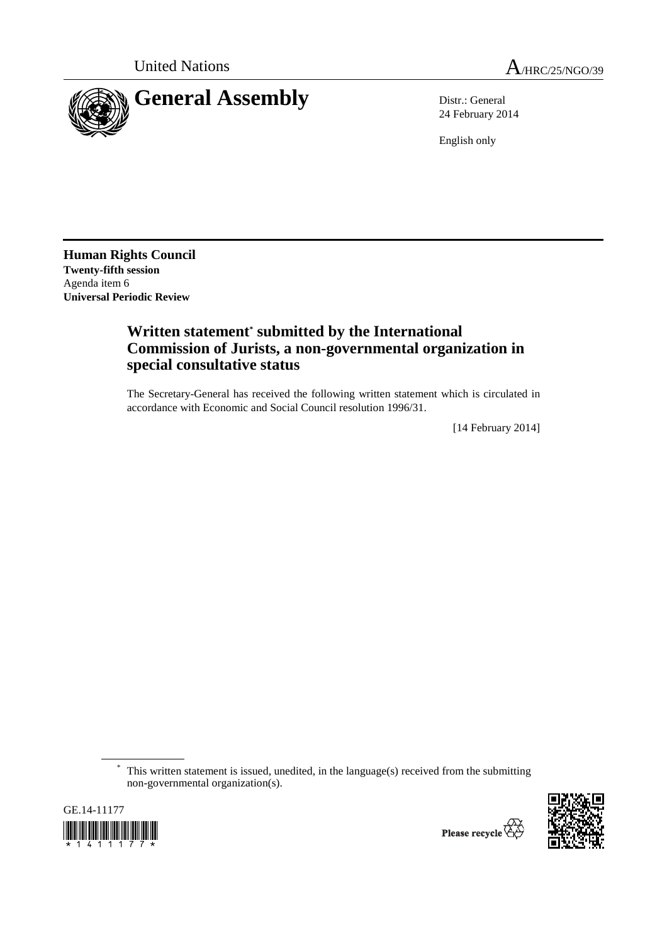

24 February 2014

English only

**Human Rights Council Twenty-fifth session**  Agenda item 6 **Universal Periodic Review** 

## **Written statement\* submitted by the International Commission of Jurists, a non-governmental organization in special consultative status**

The Secretary-General has received the following written statement which is circulated in accordance with Economic and Social Council resolution 1996/31.

[14 February 2014]

This written statement is issued, unedited, in the language(s) received from the submitting non-governmental organization(s).



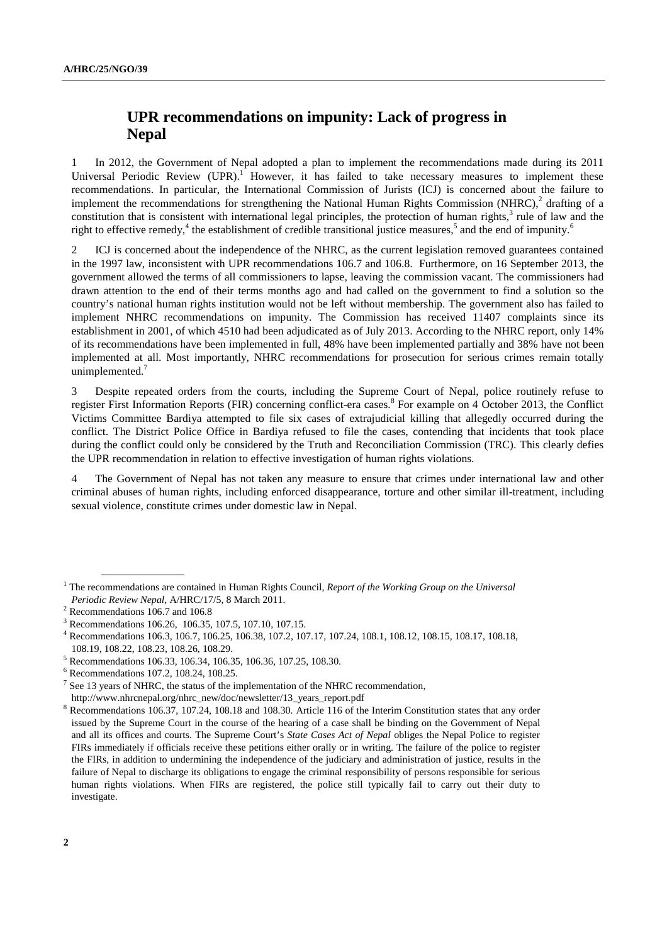## **UPR recommendations on impunity: Lack of progress in Nepal**

1 In 2012, the Government of Nepal adopted a plan to implement the recommendations made during its 2011 Universal Periodic Review (UPR).<sup>1</sup> However, it has failed to take necessary measures to implement these recommendations. In particular, the International Commission of Jurists (ICJ) is concerned about the failure to implement the recommendations for strengthening the National Human Rights Commission (NHRC), $2$  drafting of a constitution that is consistent with international legal principles, the protection of human rights,<sup>3</sup> rule of law and the right to effective remedy,<sup>4</sup> the establishment of credible transitional justice measures,<sup>5</sup> and the end of impunity.<sup>6</sup>

2 ICJ is concerned about the independence of the NHRC, as the current legislation removed guarantees contained in the 1997 law, inconsistent with UPR recommendations 106.7 and 106.8. Furthermore, on 16 September 2013, the government allowed the terms of all commissioners to lapse, leaving the commission vacant. The commissioners had drawn attention to the end of their terms months ago and had called on the government to find a solution so the country's national human rights institution would not be left without membership. The government also has failed to implement NHRC recommendations on impunity. The Commission has received 11407 complaints since its establishment in 2001, of which 4510 had been adjudicated as of July 2013. According to the NHRC report, only 14% of its recommendations have been implemented in full, 48% have been implemented partially and 38% have not been implemented at all. Most importantly, NHRC recommendations for prosecution for serious crimes remain totally unimplemented.<sup>7</sup>

3 Despite repeated orders from the courts, including the Supreme Court of Nepal, police routinely refuse to register First Information Reports (FIR) concerning conflict-era cases.<sup>8</sup> For example on 4 October 2013, the Conflict Victims Committee Bardiya attempted to file six cases of extrajudicial killing that allegedly occurred during the conflict. The District Police Office in Bardiya refused to file the cases, contending that incidents that took place during the conflict could only be considered by the Truth and Reconciliation Commission (TRC). This clearly defies the UPR recommendation in relation to effective investigation of human rights violations.

4 The Government of Nepal has not taken any measure to ensure that crimes under international law and other criminal abuses of human rights, including enforced disappearance, torture and other similar ill-treatment, including sexual violence, constitute crimes under domestic law in Nepal.

<sup>&</sup>lt;sup>1</sup> The recommendations are contained in Human Rights Council, *Report of the Working Group on the Universal* Periodic Review Nepal, A/HRC/17/5, 8 March 2011.

 $2$  Recommendations 106.7 and 106.8

<sup>3</sup> Recommendations 106.26, 106.35, 107.5, 107.10, 107.15.

<sup>4</sup> Recommendations 106.3, 106.7, 106.25, 106.38, 107.2, 107.17, 107.24, 108.1, 108.12, 108.15, 108.17, 108.18, 108.19, 108.22, 108.23, 108.26, 108.29.

<sup>5</sup> Recommendations 106.33, 106.34, 106.35, 106.36, 107.25, 108.30.

<sup>6</sup> Recommendations 107.2, 108.24, 108.25.

 $<sup>7</sup>$  See 13 years of NHRC, the status of the implementation of the NHRC recommendation,</sup>

http://www.nhrcnepal.org/nhrc\_new/doc/newsletter/13\_years\_report.pdf 8

Recommendations 106.37, 107.24, 108.18 and 108.30. Article 116 of the Interim Constitution states that any order issued by the Supreme Court in the course of the hearing of a case shall be binding on the Government of Nepal and all its offices and courts. The Supreme Court's *State Cases Act of Nepal* obliges the Nepal Police to register FIRs immediately if officials receive these petitions either orally or in writing. The failure of the police to register the FIRs, in addition to undermining the independence of the judiciary and administration of justice, results in the failure of Nepal to discharge its obligations to engage the criminal responsibility of persons responsible for serious human rights violations. When FIRs are registered, the police still typically fail to carry out their duty to investigate.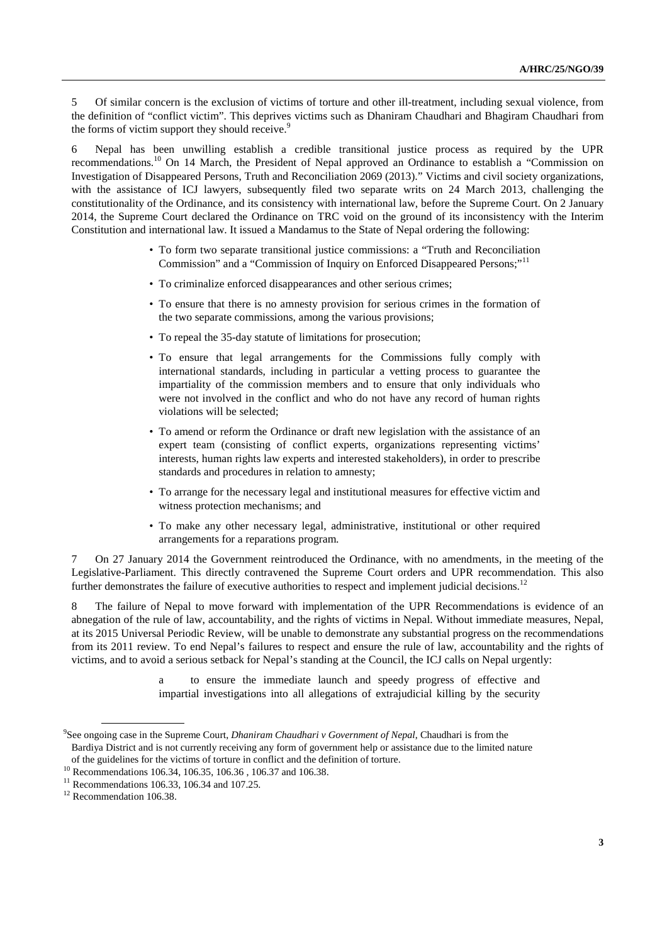5 Of similar concern is the exclusion of victims of torture and other ill-treatment, including sexual violence, from the definition of "conflict victim". This deprives victims such as Dhaniram Chaudhari and Bhagiram Chaudhari from the forms of victim support they should receive.<sup>9</sup>

6 Nepal has been unwilling establish a credible transitional justice process as required by the UPR recommendations.10 On 14 March, the President of Nepal approved an Ordinance to establish a "Commission on Investigation of Disappeared Persons, Truth and Reconciliation 2069 (2013)." Victims and civil society organizations, with the assistance of ICJ lawyers, subsequently filed two separate writs on 24 March 2013, challenging the constitutionality of the Ordinance, and its consistency with international law, before the Supreme Court. On 2 January 2014, the Supreme Court declared the Ordinance on TRC void on the ground of its inconsistency with the Interim Constitution and international law. It issued a Mandamus to the State of Nepal ordering the following:

- To form two separate transitional justice commissions: a "Truth and Reconciliation Commission" and a "Commission of Inquiry on Enforced Disappeared Persons;"<sup>11</sup>
- To criminalize enforced disappearances and other serious crimes;
- To ensure that there is no amnesty provision for serious crimes in the formation of the two separate commissions, among the various provisions;
- To repeal the 35-day statute of limitations for prosecution;
- To ensure that legal arrangements for the Commissions fully comply with international standards, including in particular a vetting process to guarantee the impartiality of the commission members and to ensure that only individuals who were not involved in the conflict and who do not have any record of human rights violations will be selected;
- To amend or reform the Ordinance or draft new legislation with the assistance of an expert team (consisting of conflict experts, organizations representing victims' interests, human rights law experts and interested stakeholders), in order to prescribe standards and procedures in relation to amnesty;
- To arrange for the necessary legal and institutional measures for effective victim and witness protection mechanisms; and
- To make any other necessary legal, administrative, institutional or other required arrangements for a reparations program.

7 On 27 January 2014 the Government reintroduced the Ordinance, with no amendments, in the meeting of the Legislative-Parliament. This directly contravened the Supreme Court orders and UPR recommendation. This also further demonstrates the failure of executive authorities to respect and implement judicial decisions.<sup>12</sup>

8 The failure of Nepal to move forward with implementation of the UPR Recommendations is evidence of an abnegation of the rule of law, accountability, and the rights of victims in Nepal. Without immediate measures, Nepal, at its 2015 Universal Periodic Review, will be unable to demonstrate any substantial progress on the recommendations from its 2011 review. To end Nepal's failures to respect and ensure the rule of law, accountability and the rights of victims, and to avoid a serious setback for Nepal's standing at the Council, the ICJ calls on Nepal urgently:

> a to ensure the immediate launch and speedy progress of effective and impartial investigations into all allegations of extrajudicial killing by the security

<sup>9</sup> See ongoing case in the Supreme Court, *Dhaniram Chaudhari v Government of Nepal*, Chaudhari is from the Bardiya District and is not currently receiving any form of government help or assistance due to the limited nature

of the guidelines for the victims of torture in conflict and the definition of torture. 10 Recommendations 106.34, 106.35, 106.36 , 106.37 and 106.38.

<sup>&</sup>lt;sup>11</sup> Recommendations 106.33, 106.34 and 107.25.

<sup>&</sup>lt;sup>12</sup> Recommendation 106.38.